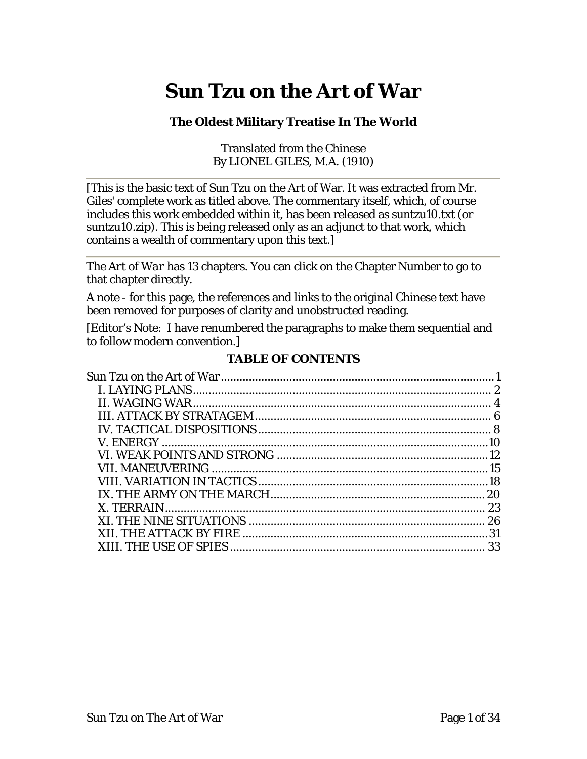# <span id="page-0-0"></span>**Sun Tzu on the Art of War**

#### **The Oldest Military Treatise In The World**

Translated from the Chinese By LIONEL GILES, M.A. (1910)

[This is the basic text of Sun Tzu on the Art of War. It was extracted from Mr. Giles' complete work as titled above. The commentary itself, which, of course includes this work embedded within it, has been released as suntzu10.txt (or suntzu10.zip). This is being released only as an adjunct to that work, which contains a wealth of commentary upon this text.]

The *Art of War* has 13 chapters. You can click on the Chapter Number to go to that chapter directly.

A note - for this page, the references and links to the original Chinese text have been removed for purposes of clarity and unobstructed reading.

[Editor's Note: I have renumbered the paragraphs to make them sequential and to follow modern convention.]

#### **TABLE OF CONTENTS**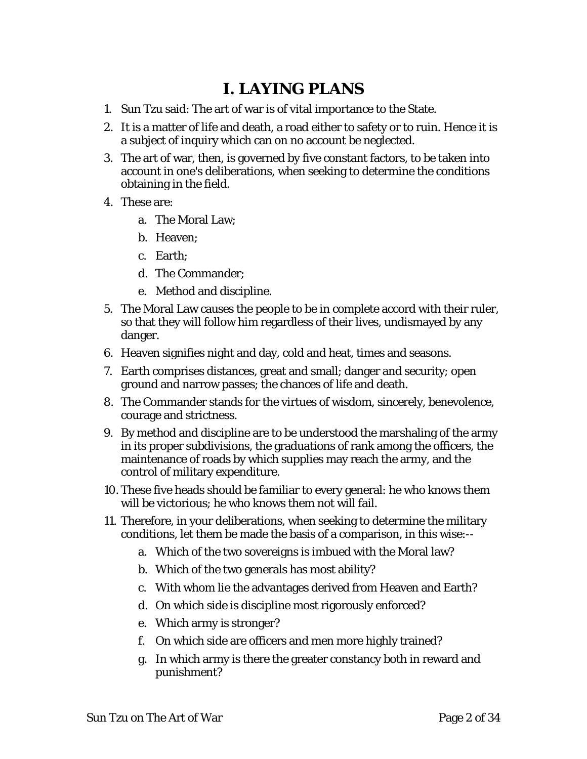### **I. LAYING PLANS**

- <span id="page-1-0"></span>1. Sun Tzu said: The art of war is of vital importance to the State.
- 2. It is a matter of life and death, a road either to safety or to ruin. Hence it is a subject of inquiry which can on no account be neglected.
- 3. The art of war, then, is governed by five constant factors, to be taken into account in one's deliberations, when seeking to determine the conditions obtaining in the field.
- 4. These are:
	- a. The Moral Law;
	- b. Heaven;
	- c. Earth;
	- d. The Commander;
	- e. Method and discipline.
- 5. The Moral Law causes the people to be in complete accord with their ruler, so that they will follow him regardless of their lives, undismayed by any danger.
- 6. Heaven signifies night and day, cold and heat, times and seasons.
- 7. Earth comprises distances, great and small; danger and security; open ground and narrow passes; the chances of life and death.
- 8. The Commander stands for the virtues of wisdom, sincerely, benevolence, courage and strictness.
- 9. By method and discipline are to be understood the marshaling of the army in its proper subdivisions, the graduations of rank among the officers, the maintenance of roads by which supplies may reach the army, and the control of military expenditure.
- 10. These five heads should be familiar to every general: he who knows them will be victorious; he who knows them not will fail.
- 11. Therefore, in your deliberations, when seeking to determine the military conditions, let them be made the basis of a comparison, in this wise:-
	- a. Which of the two sovereigns is imbued with the Moral law?
	- b. Which of the two generals has most ability?
	- c. With whom lie the advantages derived from Heaven and Earth?
	- d. On which side is discipline most rigorously enforced?
	- e. Which army is stronger?
	- f. On which side are officers and men more highly trained?
	- g. In which army is there the greater constancy both in reward and punishment?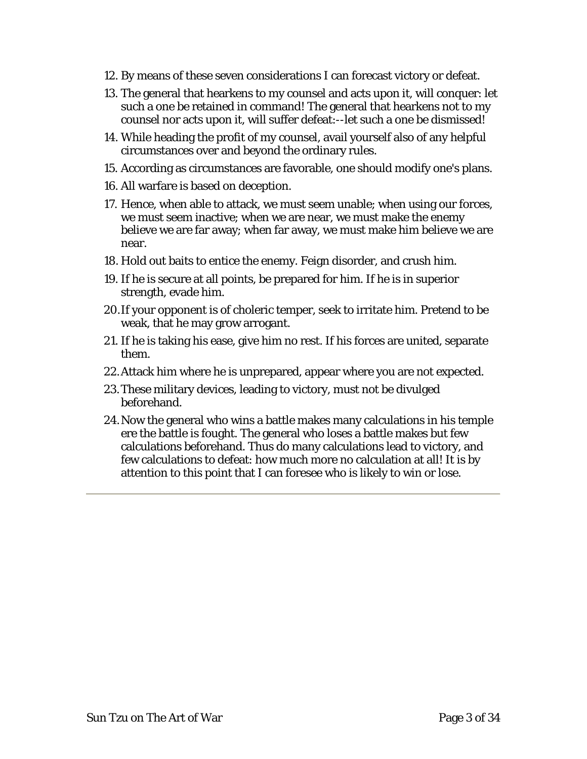- 12. By means of these seven considerations I can forecast victory or defeat.
- 13. The general that hearkens to my counsel and acts upon it, will conquer: let such a one be retained in command! The general that hearkens not to my counsel nor acts upon it, will suffer defeat:--let such a one be dismissed!
- 14. While heading the profit of my counsel, avail yourself also of any helpful circumstances over and beyond the ordinary rules.
- 15. According as circumstances are favorable, one should modify one's plans.
- 16. All warfare is based on deception.
- 17. Hence, when able to attack, we must seem unable; when using our forces, we must seem inactive; when we are near, we must make the enemy believe we are far away; when far away, we must make him believe we are near.
- 18. Hold out baits to entice the enemy. Feign disorder, and crush him.
- 19. If he is secure at all points, be prepared for him. If he is in superior strength, evade him.
- 20.If your opponent is of choleric temper, seek to irritate him. Pretend to be weak, that he may grow arrogant.
- 21. If he is taking his ease, give him no rest. If his forces are united, separate them.
- 22.Attack him where he is unprepared, appear where you are not expected.
- 23.These military devices, leading to victory, must not be divulged beforehand.
- 24.Now the general who wins a battle makes many calculations in his temple ere the battle is fought. The general who loses a battle makes but few calculations beforehand. Thus do many calculations lead to victory, and few calculations to defeat: how much more no calculation at all! It is by attention to this point that I can foresee who is likely to win or lose.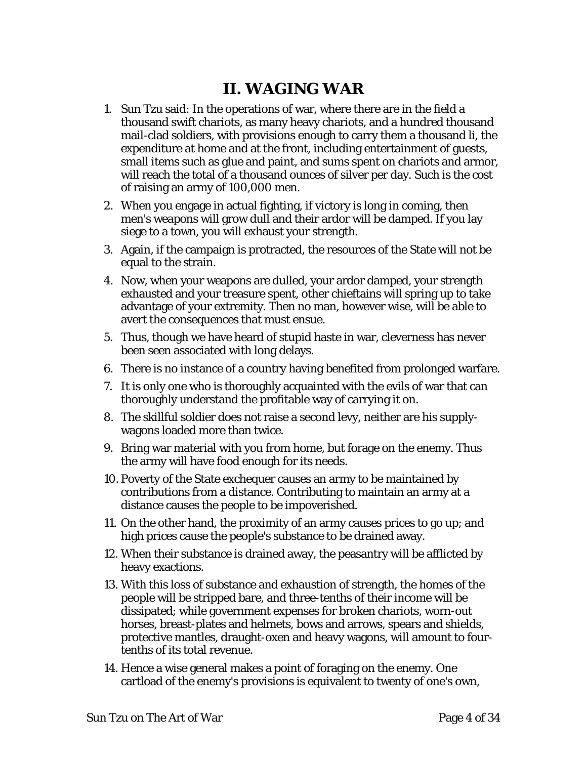### **II. WAGING WAR**

- <span id="page-3-0"></span>1. Sun Tzu said: In the operations of war, where there are in the field a thousand swift chariots, as many heavy chariots, and a hundred thousand mail-clad soldiers, with provisions enough to carry them a thousand li, the expenditure at home and at the front, including entertainment of guests, small items such as glue and paint, and sums spent on chariots and armor, will reach the total of a thousand ounces of silver per day. Such is the cost of raising an army of 100,000 men.
- 2. When you engage in actual fighting, if victory is long in coming, then men's weapons will grow dull and their ardor will be damped. If you lay siege to a town, you will exhaust your strength.
- 3. Again, if the campaign is protracted, the resources of the State will not be equal to the strain.
- 4. Now, when your weapons are dulled, your ardor damped, your strength exhausted and your treasure spent, other chieftains will spring up to take advantage of your extremity. Then no man, however wise, will be able to avert the consequences that must ensue.
- 5. Thus, though we have heard of stupid haste in war, cleverness has never been seen associated with long delays.
- 6. There is no instance of a country having benefited from prolonged warfare.
- 7. It is only one who is thoroughly acquainted with the evils of war that can thoroughly understand the profitable way of carrying it on.
- 8. The skillful soldier does not raise a second levy, neither are his supplywagons loaded more than twice.
- 9. Bring war material with you from home, but forage on the enemy. Thus the army will have food enough for its needs.
- 10. Poverty of the State exchequer causes an army to be maintained by contributions from a distance. Contributing to maintain an army at a distance causes the people to be impoverished.
- 11. On the other hand, the proximity of an army causes prices to go up; and high prices cause the people's substance to be drained away.
- 12. When their substance is drained away, the peasantry will be afflicted by heavy exactions.
- 13. With this loss of substance and exhaustion of strength, the homes of the people will be stripped bare, and three-tenths of their income will be dissipated; while government expenses for broken chariots, worn-out horses, breast-plates and helmets, bows and arrows, spears and shields, protective mantles, draught-oxen and heavy wagons, will amount to fourtenths of its total revenue.
- 14. Hence a wise general makes a point of foraging on the enemy. One cartload of the enemy's provisions is equivalent to twenty of one's own,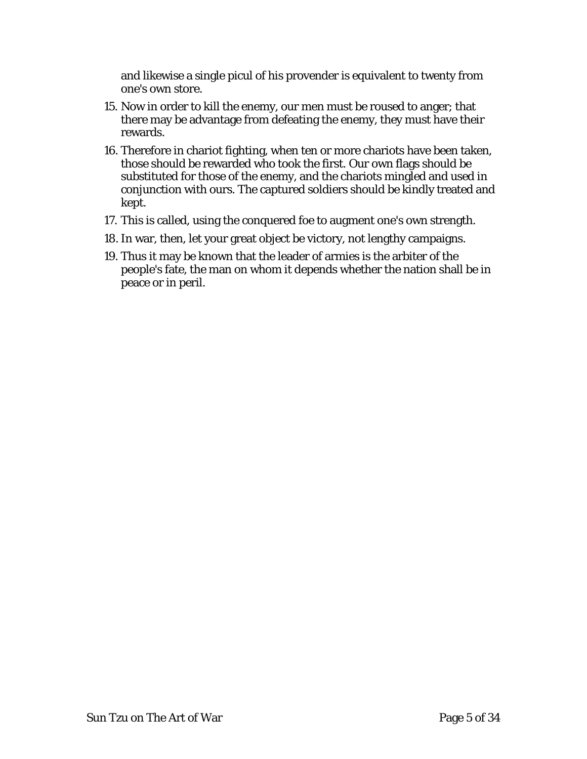and likewise a single picul of his provender is equivalent to twenty from one's own store.

- 15. Now in order to kill the enemy, our men must be roused to anger; that there may be advantage from defeating the enemy, they must have their rewards.
- 16. Therefore in chariot fighting, when ten or more chariots have been taken, those should be rewarded who took the first. Our own flags should be substituted for those of the enemy, and the chariots mingled and used in conjunction with ours. The captured soldiers should be kindly treated and kept.
- 17. This is called, using the conquered foe to augment one's own strength.
- 18. In war, then, let your great object be victory, not lengthy campaigns.
- 19. Thus it may be known that the leader of armies is the arbiter of the people's fate, the man on whom it depends whether the nation shall be in peace or in peril.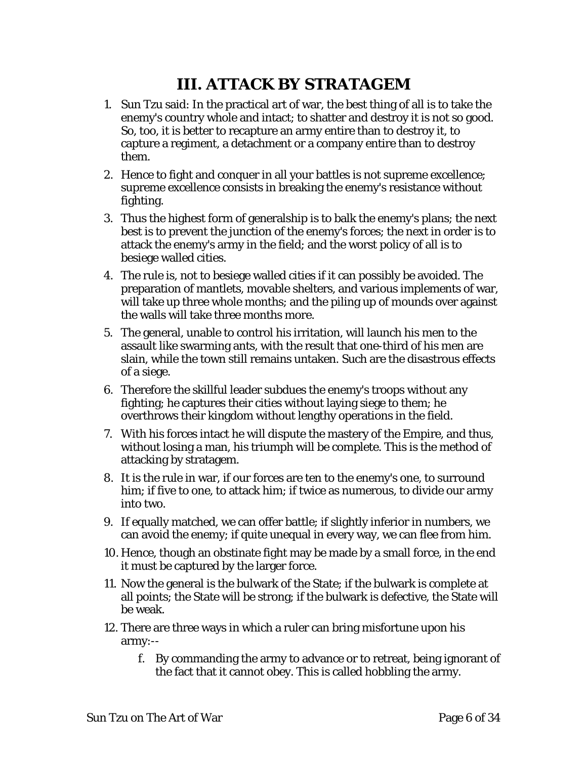# **III. ATTACK BY STRATAGEM**

- <span id="page-5-0"></span>1. Sun Tzu said: In the practical art of war, the best thing of all is to take the enemy's country whole and intact; to shatter and destroy it is not so good. So, too, it is better to recapture an army entire than to destroy it, to capture a regiment, a detachment or a company entire than to destroy them.
- 2. Hence to fight and conquer in all your battles is not supreme excellence; supreme excellence consists in breaking the enemy's resistance without fighting.
- 3. Thus the highest form of generalship is to balk the enemy's plans; the next best is to prevent the junction of the enemy's forces; the next in order is to attack the enemy's army in the field; and the worst policy of all is to besiege walled cities.
- 4. The rule is, not to besiege walled cities if it can possibly be avoided. The preparation of mantlets, movable shelters, and various implements of war, will take up three whole months; and the piling up of mounds over against the walls will take three months more.
- 5. The general, unable to control his irritation, will launch his men to the assault like swarming ants, with the result that one-third of his men are slain, while the town still remains untaken. Such are the disastrous effects of a siege.
- 6. Therefore the skillful leader subdues the enemy's troops without any fighting; he captures their cities without laying siege to them; he overthrows their kingdom without lengthy operations in the field.
- 7. With his forces intact he will dispute the mastery of the Empire, and thus, without losing a man, his triumph will be complete. This is the method of attacking by stratagem.
- 8. It is the rule in war, if our forces are ten to the enemy's one, to surround him; if five to one, to attack him; if twice as numerous, to divide our army into two.
- 9. If equally matched, we can offer battle; if slightly inferior in numbers, we can avoid the enemy; if quite unequal in every way, we can flee from him.
- 10. Hence, though an obstinate fight may be made by a small force, in the end it must be captured by the larger force.
- 11. Now the general is the bulwark of the State; if the bulwark is complete at all points; the State will be strong; if the bulwark is defective, the State will be weak.
- 12. There are three ways in which a ruler can bring misfortune upon his army:-
	- f. By commanding the army to advance or to retreat, being ignorant of the fact that it cannot obey. This is called hobbling the army.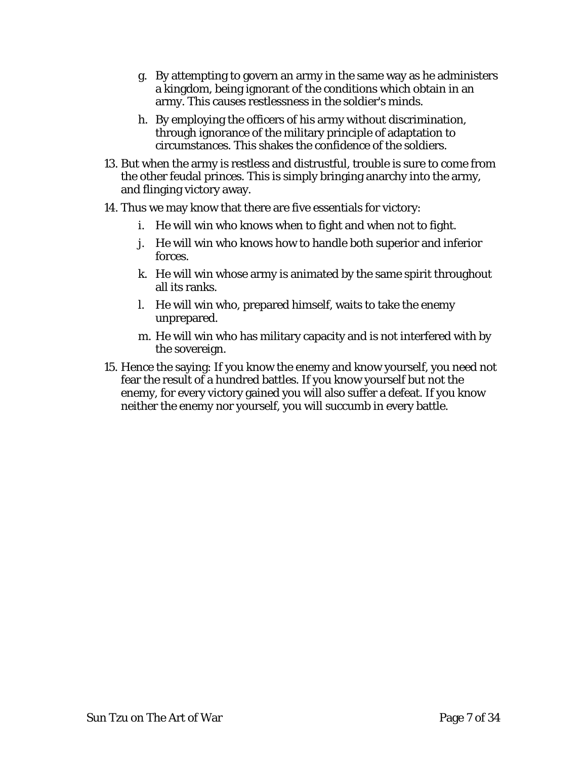- g. By attempting to govern an army in the same way as he administers a kingdom, being ignorant of the conditions which obtain in an army. This causes restlessness in the soldier's minds.
- h. By employing the officers of his army without discrimination, through ignorance of the military principle of adaptation to circumstances. This shakes the confidence of the soldiers.
- 13. But when the army is restless and distrustful, trouble is sure to come from the other feudal princes. This is simply bringing anarchy into the army, and flinging victory away.
- 14. Thus we may know that there are five essentials for victory:
	- i. He will win who knows when to fight and when not to fight.
	- j. He will win who knows how to handle both superior and inferior forces.
	- k. He will win whose army is animated by the same spirit throughout all its ranks.
	- l. He will win who, prepared himself, waits to take the enemy unprepared.
	- m. He will win who has military capacity and is not interfered with by the sovereign.
- 15. Hence the saying: If you know the enemy and know yourself, you need not fear the result of a hundred battles. If you know yourself but not the enemy, for every victory gained you will also suffer a defeat. If you know neither the enemy nor yourself, you will succumb in every battle.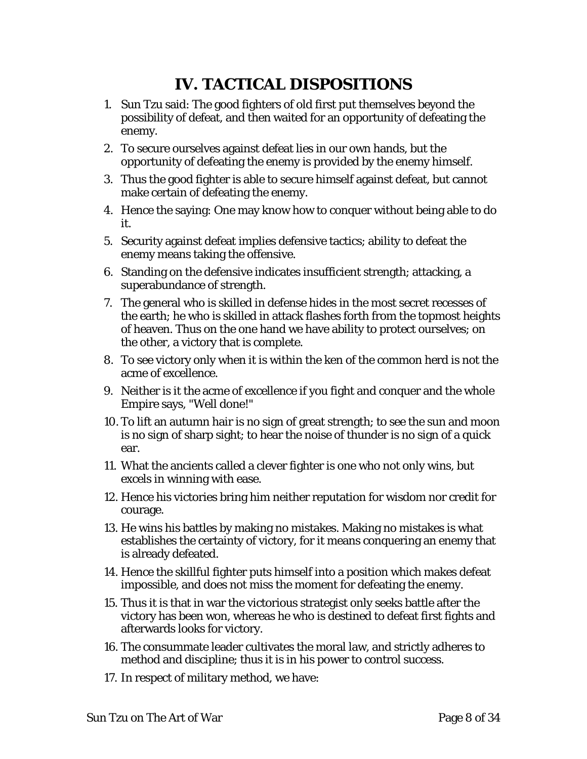# **IV. TACTICAL DISPOSITIONS**

- <span id="page-7-0"></span>1. Sun Tzu said: The good fighters of old first put themselves beyond the possibility of defeat, and then waited for an opportunity of defeating the enemy.
- 2. To secure ourselves against defeat lies in our own hands, but the opportunity of defeating the enemy is provided by the enemy himself.
- 3. Thus the good fighter is able to secure himself against defeat, but cannot make certain of defeating the enemy.
- 4. Hence the saying: One may know how to conquer without being able to do it.
- 5. Security against defeat implies defensive tactics; ability to defeat the enemy means taking the offensive.
- 6. Standing on the defensive indicates insufficient strength; attacking, a superabundance of strength.
- 7. The general who is skilled in defense hides in the most secret recesses of the earth; he who is skilled in attack flashes forth from the topmost heights of heaven. Thus on the one hand we have ability to protect ourselves; on the other, a victory that is complete.
- 8. To see victory only when it is within the ken of the common herd is not the acme of excellence.
- 9. Neither is it the acme of excellence if you fight and conquer and the whole Empire says, "Well done!"
- 10. To lift an autumn hair is no sign of great strength; to see the sun and moon is no sign of sharp sight; to hear the noise of thunder is no sign of a quick ear.
- 11. What the ancients called a clever fighter is one who not only wins, but excels in winning with ease.
- 12. Hence his victories bring him neither reputation for wisdom nor credit for courage.
- 13. He wins his battles by making no mistakes. Making no mistakes is what establishes the certainty of victory, for it means conquering an enemy that is already defeated.
- 14. Hence the skillful fighter puts himself into a position which makes defeat impossible, and does not miss the moment for defeating the enemy.
- 15. Thus it is that in war the victorious strategist only seeks battle after the victory has been won, whereas he who is destined to defeat first fights and afterwards looks for victory.
- 16. The consummate leader cultivates the moral law, and strictly adheres to method and discipline; thus it is in his power to control success.
- 17. In respect of military method, we have: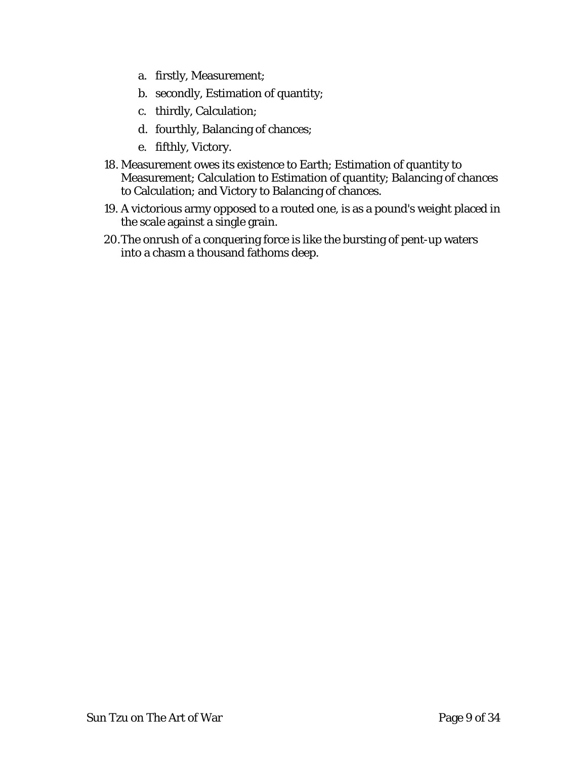- a. firstly, Measurement;
- b. secondly, Estimation of quantity;
- c. thirdly, Calculation;
- d. fourthly, Balancing of chances;
- e. fifthly, Victory.
- 18. Measurement owes its existence to Earth; Estimation of quantity to Measurement; Calculation to Estimation of quantity; Balancing of chances to Calculation; and Victory to Balancing of chances.
- 19. A victorious army opposed to a routed one, is as a pound's weight placed in the scale against a single grain.
- 20.The onrush of a conquering force is like the bursting of pent-up waters into a chasm a thousand fathoms deep.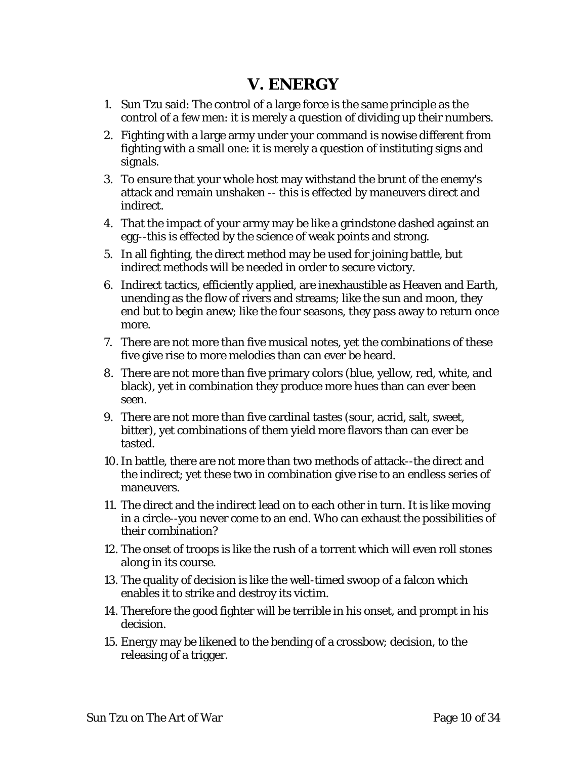### **V. ENERGY**

- <span id="page-9-0"></span>1. Sun Tzu said: The control of a large force is the same principle as the control of a few men: it is merely a question of dividing up their numbers.
- 2. Fighting with a large army under your command is nowise different from fighting with a small one: it is merely a question of instituting signs and signals.
- 3. To ensure that your whole host may withstand the brunt of the enemy's attack and remain unshaken -- this is effected by maneuvers direct and indirect.
- 4. That the impact of your army may be like a grindstone dashed against an egg--this is effected by the science of weak points and strong.
- 5. In all fighting, the direct method may be used for joining battle, but indirect methods will be needed in order to secure victory.
- 6. Indirect tactics, efficiently applied, are inexhaustible as Heaven and Earth, unending as the flow of rivers and streams; like the sun and moon, they end but to begin anew; like the four seasons, they pass away to return once more.
- 7. There are not more than five musical notes, yet the combinations of these five give rise to more melodies than can ever be heard.
- 8. There are not more than five primary colors (blue, yellow, red, white, and black), yet in combination they produce more hues than can ever been seen.
- 9. There are not more than five cardinal tastes (sour, acrid, salt, sweet, bitter), yet combinations of them yield more flavors than can ever be tasted.
- 10.In battle, there are not more than two methods of attack--the direct and the indirect; yet these two in combination give rise to an endless series of maneuvers.
- 11. The direct and the indirect lead on to each other in turn. It is like moving in a circle--you never come to an end. Who can exhaust the possibilities of their combination?
- 12. The onset of troops is like the rush of a torrent which will even roll stones along in its course.
- 13. The quality of decision is like the well-timed swoop of a falcon which enables it to strike and destroy its victim.
- 14. Therefore the good fighter will be terrible in his onset, and prompt in his decision.
- 15. Energy may be likened to the bending of a crossbow; decision, to the releasing of a trigger.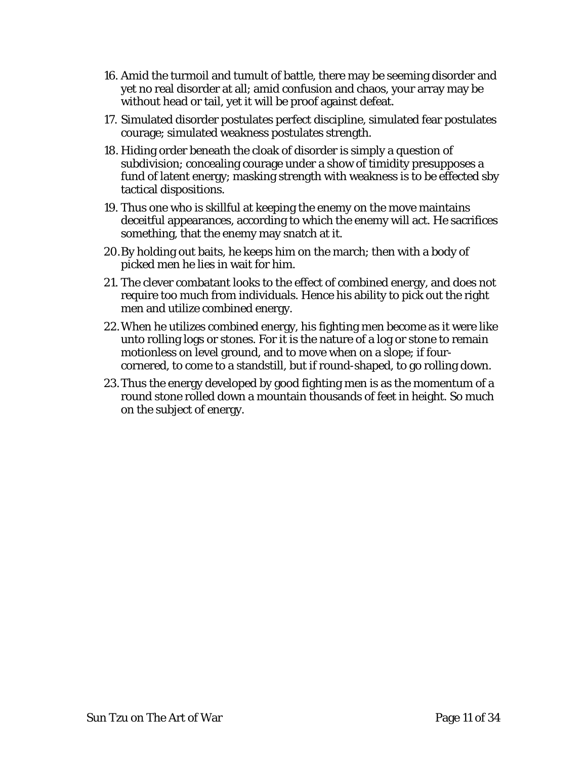- 16. Amid the turmoil and tumult of battle, there may be seeming disorder and yet no real disorder at all; amid confusion and chaos, your array may be without head or tail, yet it will be proof against defeat.
- 17. Simulated disorder postulates perfect discipline, simulated fear postulates courage; simulated weakness postulates strength.
- 18. Hiding order beneath the cloak of disorder is simply a question of subdivision; concealing courage under a show of timidity presupposes a fund of latent energy; masking strength with weakness is to be effected sby tactical dispositions.
- 19. Thus one who is skillful at keeping the enemy on the move maintains deceitful appearances, according to which the enemy will act. He sacrifices something, that the enemy may snatch at it.
- 20.By holding out baits, he keeps him on the march; then with a body of picked men he lies in wait for him.
- 21. The clever combatant looks to the effect of combined energy, and does not require too much from individuals. Hence his ability to pick out the right men and utilize combined energy.
- 22.When he utilizes combined energy, his fighting men become as it were like unto rolling logs or stones. For it is the nature of a log or stone to remain motionless on level ground, and to move when on a slope; if fourcornered, to come to a standstill, but if round-shaped, to go rolling down.
- 23.Thus the energy developed by good fighting men is as the momentum of a round stone rolled down a mountain thousands of feet in height. So much on the subject of energy.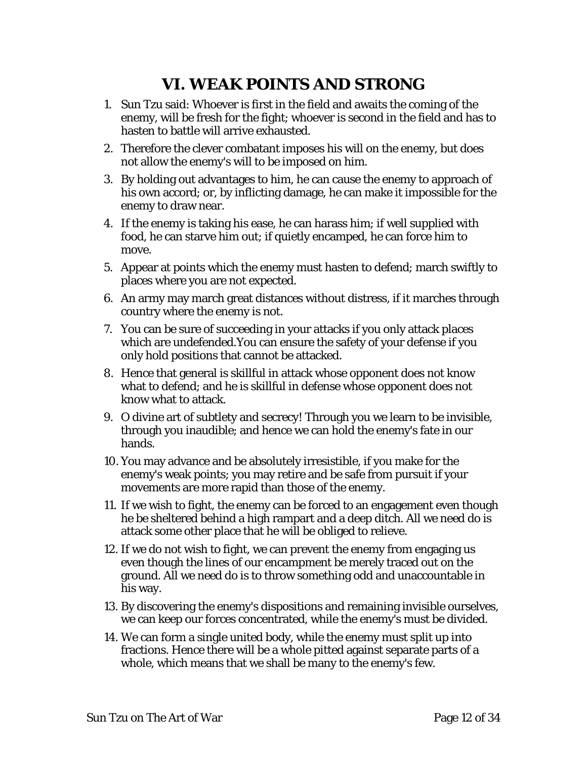# **VI. WEAK POINTS AND STRONG**

- <span id="page-11-0"></span>1. Sun Tzu said: Whoever is first in the field and awaits the coming of the enemy, will be fresh for the fight; whoever is second in the field and has to hasten to battle will arrive exhausted.
- 2. Therefore the clever combatant imposes his will on the enemy, but does not allow the enemy's will to be imposed on him.
- 3. By holding out advantages to him, he can cause the enemy to approach of his own accord; or, by inflicting damage, he can make it impossible for the enemy to draw near.
- 4. If the enemy is taking his ease, he can harass him; if well supplied with food, he can starve him out; if quietly encamped, he can force him to move.
- 5. Appear at points which the enemy must hasten to defend; march swiftly to places where you are not expected.
- 6. An army may march great distances without distress, if it marches through country where the enemy is not.
- 7. You can be sure of succeeding in your attacks if you only attack places which are undefended.You can ensure the safety of your defense if you only hold positions that cannot be attacked.
- 8. Hence that general is skillful in attack whose opponent does not know what to defend; and he is skillful in defense whose opponent does not know what to attack.
- 9. O divine art of subtlety and secrecy! Through you we learn to be invisible, through you inaudible; and hence we can hold the enemy's fate in our hands.
- 10. You may advance and be absolutely irresistible, if you make for the enemy's weak points; you may retire and be safe from pursuit if your movements are more rapid than those of the enemy.
- 11. If we wish to fight, the enemy can be forced to an engagement even though he be sheltered behind a high rampart and a deep ditch. All we need do is attack some other place that he will be obliged to relieve.
- 12. If we do not wish to fight, we can prevent the enemy from engaging us even though the lines of our encampment be merely traced out on the ground. All we need do is to throw something odd and unaccountable in his way.
- 13. By discovering the enemy's dispositions and remaining invisible ourselves, we can keep our forces concentrated, while the enemy's must be divided.
- 14. We can form a single united body, while the enemy must split up into fractions. Hence there will be a whole pitted against separate parts of a whole, which means that we shall be many to the enemy's few.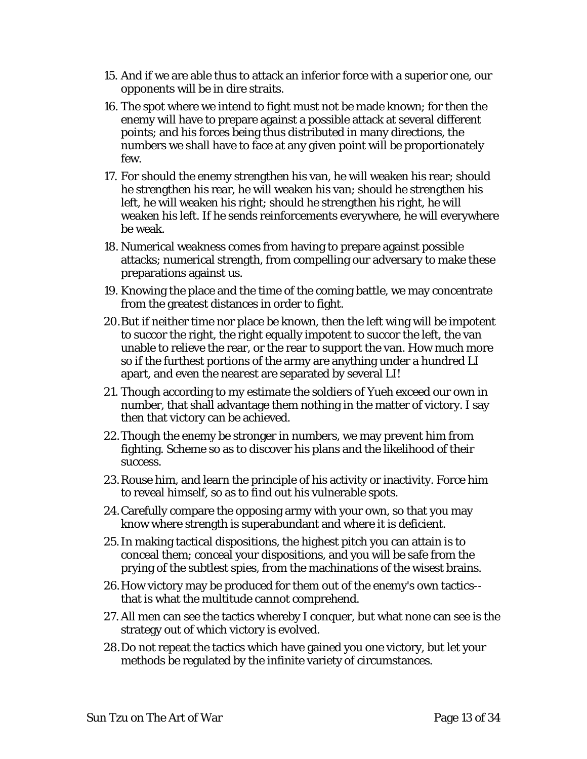- 15. And if we are able thus to attack an inferior force with a superior one, our opponents will be in dire straits.
- 16. The spot where we intend to fight must not be made known; for then the enemy will have to prepare against a possible attack at several different points; and his forces being thus distributed in many directions, the numbers we shall have to face at any given point will be proportionately few.
- 17. For should the enemy strengthen his van, he will weaken his rear; should he strengthen his rear, he will weaken his van; should he strengthen his left, he will weaken his right; should he strengthen his right, he will weaken his left. If he sends reinforcements everywhere, he will everywhere be weak.
- 18. Numerical weakness comes from having to prepare against possible attacks; numerical strength, from compelling our adversary to make these preparations against us.
- 19. Knowing the place and the time of the coming battle, we may concentrate from the greatest distances in order to fight.
- 20.But if neither time nor place be known, then the left wing will be impotent to succor the right, the right equally impotent to succor the left, the van unable to relieve the rear, or the rear to support the van. How much more so if the furthest portions of the army are anything under a hundred LI apart, and even the nearest are separated by several LI!
- 21. Though according to my estimate the soldiers of Yueh exceed our own in number, that shall advantage them nothing in the matter of victory. I say then that victory can be achieved.
- 22.Though the enemy be stronger in numbers, we may prevent him from fighting. Scheme so as to discover his plans and the likelihood of their success.
- 23.Rouse him, and learn the principle of his activity or inactivity. Force him to reveal himself, so as to find out his vulnerable spots.
- 24.Carefully compare the opposing army with your own, so that you may know where strength is superabundant and where it is deficient.
- 25.In making tactical dispositions, the highest pitch you can attain is to conceal them; conceal your dispositions, and you will be safe from the prying of the subtlest spies, from the machinations of the wisest brains.
- 26.How victory may be produced for them out of the enemy's own tactics- that is what the multitude cannot comprehend.
- 27. All men can see the tactics whereby I conquer, but what none can see is the strategy out of which victory is evolved.
- 28.Do not repeat the tactics which have gained you one victory, but let your methods be regulated by the infinite variety of circumstances.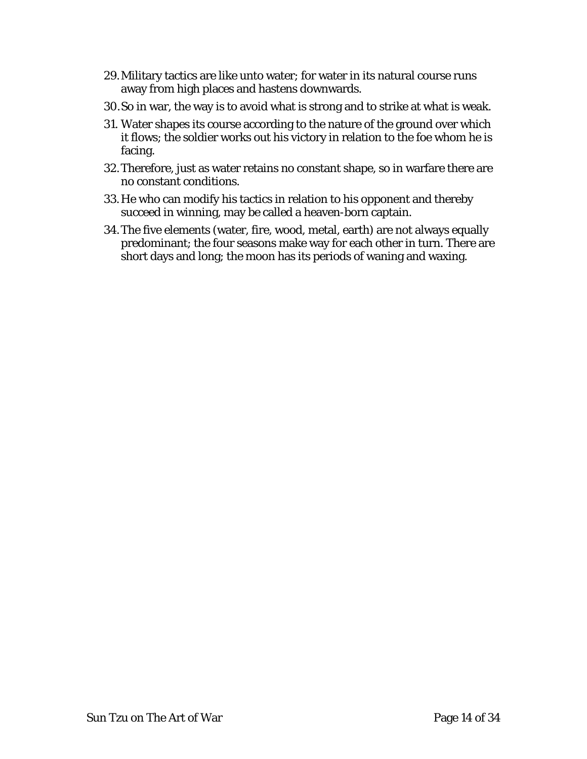- 29.Military tactics are like unto water; for water in its natural course runs away from high places and hastens downwards.
- 30.So in war, the way is to avoid what is strong and to strike at what is weak.
- 31. Water shapes its course according to the nature of the ground over which it flows; the soldier works out his victory in relation to the foe whom he is facing.
- 32.Therefore, just as water retains no constant shape, so in warfare there are no constant conditions.
- 33.He who can modify his tactics in relation to his opponent and thereby succeed in winning, may be called a heaven-born captain.
- 34.The five elements (water, fire, wood, metal, earth) are not always equally predominant; the four seasons make way for each other in turn. There are short days and long; the moon has its periods of waning and waxing.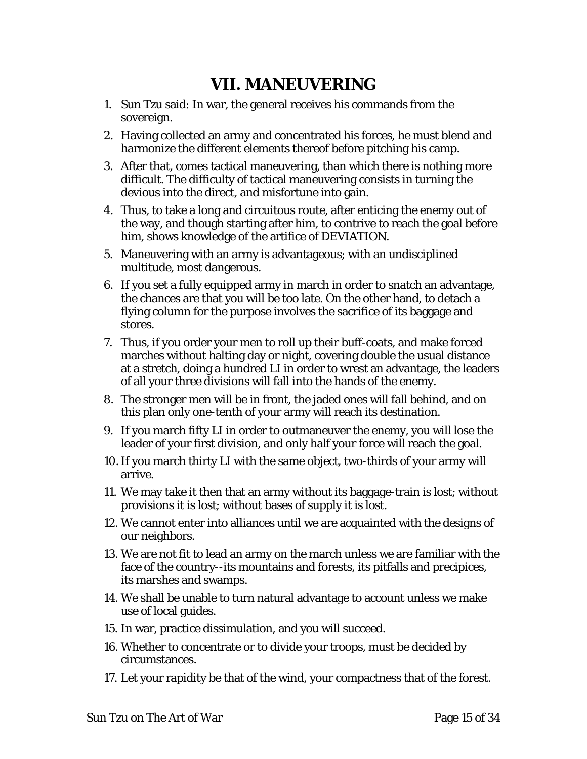### **VII. MANEUVERING**

- <span id="page-14-0"></span>1. Sun Tzu said: In war, the general receives his commands from the sovereign.
- 2. Having collected an army and concentrated his forces, he must blend and harmonize the different elements thereof before pitching his camp.
- 3. After that, comes tactical maneuvering, than which there is nothing more difficult. The difficulty of tactical maneuvering consists in turning the devious into the direct, and misfortune into gain.
- 4. Thus, to take a long and circuitous route, after enticing the enemy out of the way, and though starting after him, to contrive to reach the goal before him, shows knowledge of the artifice of DEVIATION.
- 5. Maneuvering with an army is advantageous; with an undisciplined multitude, most dangerous.
- 6. If you set a fully equipped army in march in order to snatch an advantage, the chances are that you will be too late. On the other hand, to detach a flying column for the purpose involves the sacrifice of its baggage and stores.
- 7. Thus, if you order your men to roll up their buff-coats, and make forced marches without halting day or night, covering double the usual distance at a stretch, doing a hundred LI in order to wrest an advantage, the leaders of all your three divisions will fall into the hands of the enemy.
- 8. The stronger men will be in front, the jaded ones will fall behind, and on this plan only one-tenth of your army will reach its destination.
- 9. If you march fifty LI in order to outmaneuver the enemy, you will lose the leader of your first division, and only half your force will reach the goal.
- 10.If you march thirty LI with the same object, two-thirds of your army will arrive.
- 11. We may take it then that an army without its baggage-train is lost; without provisions it is lost; without bases of supply it is lost.
- 12. We cannot enter into alliances until we are acquainted with the designs of our neighbors.
- 13. We are not fit to lead an army on the march unless we are familiar with the face of the country--its mountains and forests, its pitfalls and precipices, its marshes and swamps.
- 14. We shall be unable to turn natural advantage to account unless we make use of local guides.
- 15. In war, practice dissimulation, and you will succeed.
- 16. Whether to concentrate or to divide your troops, must be decided by circumstances.
- 17. Let your rapidity be that of the wind, your compactness that of the forest.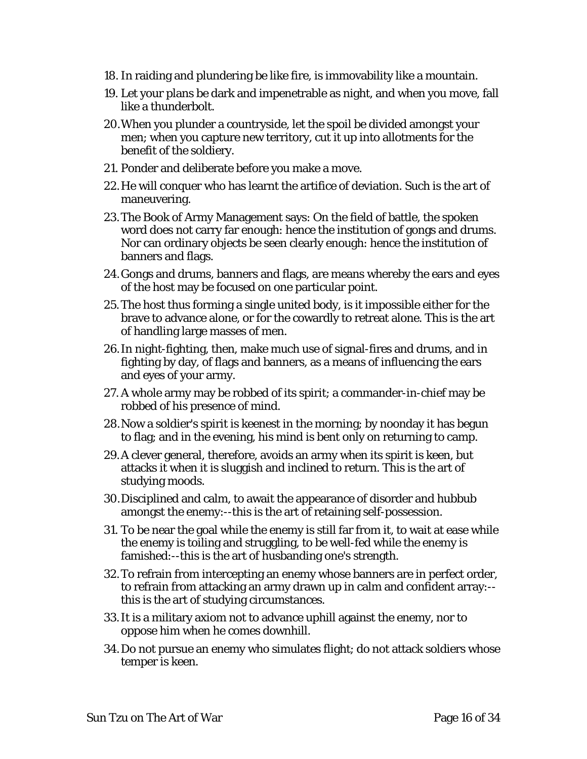- 18. In raiding and plundering be like fire, is immovability like a mountain.
- 19. Let your plans be dark and impenetrable as night, and when you move, fall like a thunderbolt.
- 20.When you plunder a countryside, let the spoil be divided amongst your men; when you capture new territory, cut it up into allotments for the benefit of the soldiery.
- 21. Ponder and deliberate before you make a move.
- 22.He will conquer who has learnt the artifice of deviation. Such is the art of maneuvering.
- 23.The Book of Army Management says: On the field of battle, the spoken word does not carry far enough: hence the institution of gongs and drums. Nor can ordinary objects be seen clearly enough: hence the institution of banners and flags.
- 24.Gongs and drums, banners and flags, are means whereby the ears and eyes of the host may be focused on one particular point.
- 25.The host thus forming a single united body, is it impossible either for the brave to advance alone, or for the cowardly to retreat alone. This is the art of handling large masses of men.
- 26.In night-fighting, then, make much use of signal-fires and drums, and in fighting by day, of flags and banners, as a means of influencing the ears and eyes of your army.
- 27. A whole army may be robbed of its spirit; a commander-in-chief may be robbed of his presence of mind.
- 28.Now a soldier's spirit is keenest in the morning; by noonday it has begun to flag; and in the evening, his mind is bent only on returning to camp.
- 29.A clever general, therefore, avoids an army when its spirit is keen, but attacks it when it is sluggish and inclined to return. This is the art of studying moods.
- 30.Disciplined and calm, to await the appearance of disorder and hubbub amongst the enemy:--this is the art of retaining self-possession.
- 31. To be near the goal while the enemy is still far from it, to wait at ease while the enemy is toiling and struggling, to be well-fed while the enemy is famished:--this is the art of husbanding one's strength.
- 32.To refrain from intercepting an enemy whose banners are in perfect order, to refrain from attacking an army drawn up in calm and confident array:- this is the art of studying circumstances.
- 33.It is a military axiom not to advance uphill against the enemy, nor to oppose him when he comes downhill.
- 34.Do not pursue an enemy who simulates flight; do not attack soldiers whose temper is keen.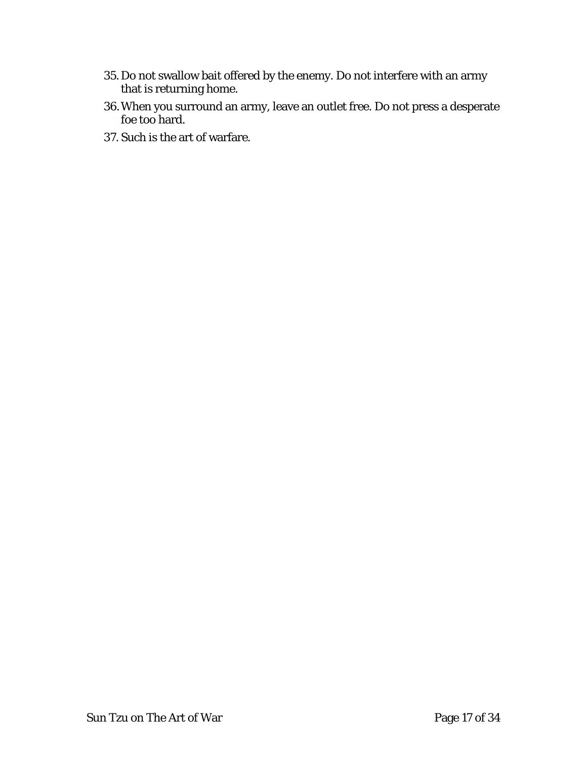- 35. Do not swallow bait offered by the enemy. Do not interfere with an army that is returning home.
- 36.When you surround an army, leave an outlet free. Do not press a desperate foe too hard.
- 37. Such is the art of warfare.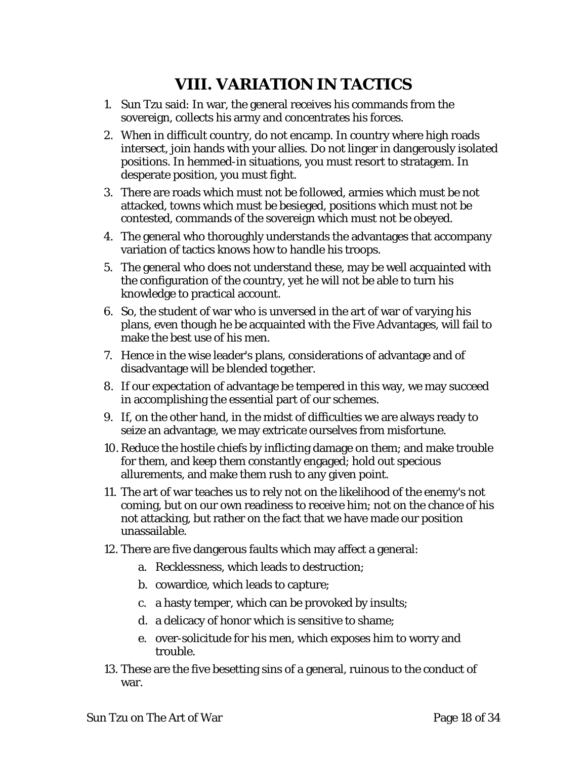# **VIII. VARIATION IN TACTICS**

- <span id="page-17-0"></span>1. Sun Tzu said: In war, the general receives his commands from the sovereign, collects his army and concentrates his forces.
- 2. When in difficult country, do not encamp. In country where high roads intersect, join hands with your allies. Do not linger in dangerously isolated positions. In hemmed-in situations, you must resort to stratagem. In desperate position, you must fight.
- 3. There are roads which must not be followed, armies which must be not attacked, towns which must be besieged, positions which must not be contested, commands of the sovereign which must not be obeyed.
- 4. The general who thoroughly understands the advantages that accompany variation of tactics knows how to handle his troops.
- 5. The general who does not understand these, may be well acquainted with the configuration of the country, yet he will not be able to turn his knowledge to practical account.
- 6. So, the student of war who is unversed in the art of war of varying his plans, even though he be acquainted with the Five Advantages, will fail to make the best use of his men.
- 7. Hence in the wise leader's plans, considerations of advantage and of disadvantage will be blended together.
- 8. If our expectation of advantage be tempered in this way, we may succeed in accomplishing the essential part of our schemes.
- 9. If, on the other hand, in the midst of difficulties we are always ready to seize an advantage, we may extricate ourselves from misfortune.
- 10. Reduce the hostile chiefs by inflicting damage on them; and make trouble for them, and keep them constantly engaged; hold out specious allurements, and make them rush to any given point.
- 11. The art of war teaches us to rely not on the likelihood of the enemy's not coming, but on our own readiness to receive him; not on the chance of his not attacking, but rather on the fact that we have made our position unassailable.
- 12. There are five dangerous faults which may affect a general:
	- a. Recklessness, which leads to destruction;
	- b. cowardice, which leads to capture;
	- c. a hasty temper, which can be provoked by insults;
	- d. a delicacy of honor which is sensitive to shame;
	- e. over-solicitude for his men, which exposes him to worry and trouble.
- 13. These are the five besetting sins of a general, ruinous to the conduct of war.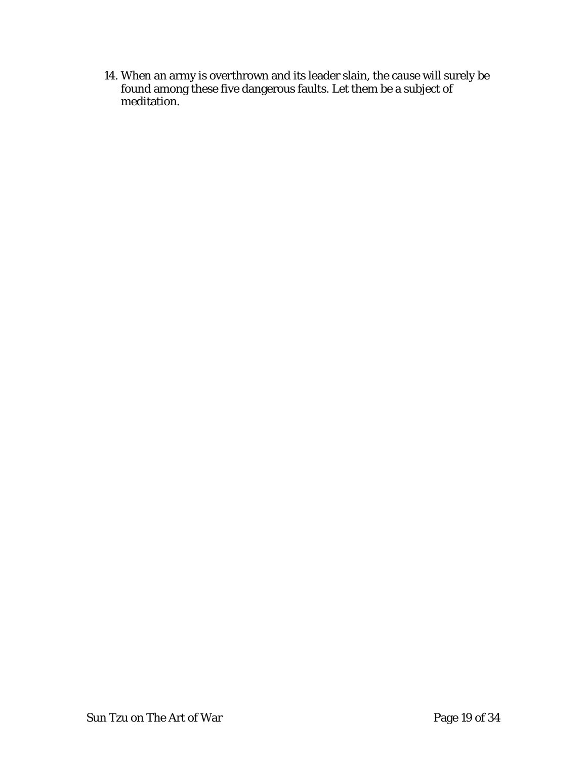14. When an army is overthrown and its leader slain, the cause will surely be found among these five dangerous faults. Let them be a subject of meditation.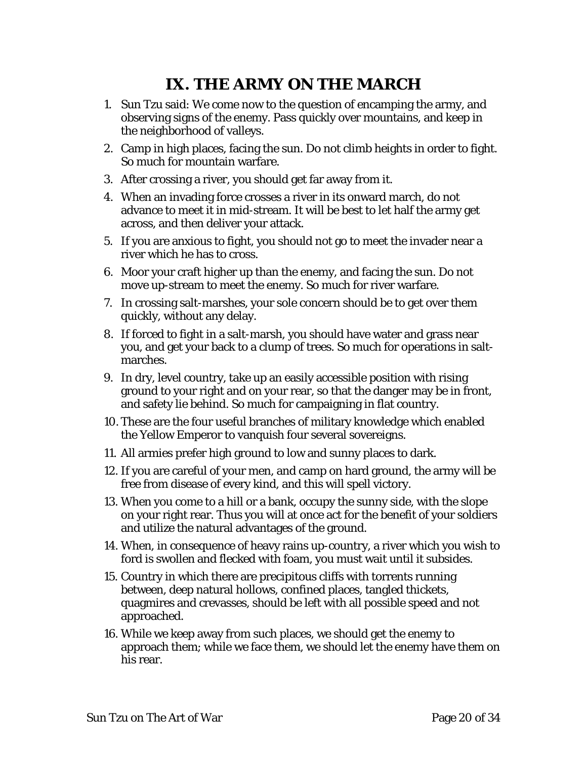# **IX. THE ARMY ON THE MARCH**

- <span id="page-19-0"></span>1. Sun Tzu said: We come now to the question of encamping the army, and observing signs of the enemy. Pass quickly over mountains, and keep in the neighborhood of valleys.
- 2. Camp in high places, facing the sun. Do not climb heights in order to fight. So much for mountain warfare.
- 3. After crossing a river, you should get far away from it.
- 4. When an invading force crosses a river in its onward march, do not advance to meet it in mid-stream. It will be best to let half the army get across, and then deliver your attack.
- 5. If you are anxious to fight, you should not go to meet the invader near a river which he has to cross.
- 6. Moor your craft higher up than the enemy, and facing the sun. Do not move up-stream to meet the enemy. So much for river warfare.
- 7. In crossing salt-marshes, your sole concern should be to get over them quickly, without any delay.
- 8. If forced to fight in a salt-marsh, you should have water and grass near you, and get your back to a clump of trees. So much for operations in saltmarches.
- 9. In dry, level country, take up an easily accessible position with rising ground to your right and on your rear, so that the danger may be in front, and safety lie behind. So much for campaigning in flat country.
- 10. These are the four useful branches of military knowledge which enabled the Yellow Emperor to vanquish four several sovereigns.
- 11. All armies prefer high ground to low and sunny places to dark.
- 12. If you are careful of your men, and camp on hard ground, the army will be free from disease of every kind, and this will spell victory.
- 13. When you come to a hill or a bank, occupy the sunny side, with the slope on your right rear. Thus you will at once act for the benefit of your soldiers and utilize the natural advantages of the ground.
- 14. When, in consequence of heavy rains up-country, a river which you wish to ford is swollen and flecked with foam, you must wait until it subsides.
- 15. Country in which there are precipitous cliffs with torrents running between, deep natural hollows, confined places, tangled thickets, quagmires and crevasses, should be left with all possible speed and not approached.
- 16. While we keep away from such places, we should get the enemy to approach them; while we face them, we should let the enemy have them on his rear.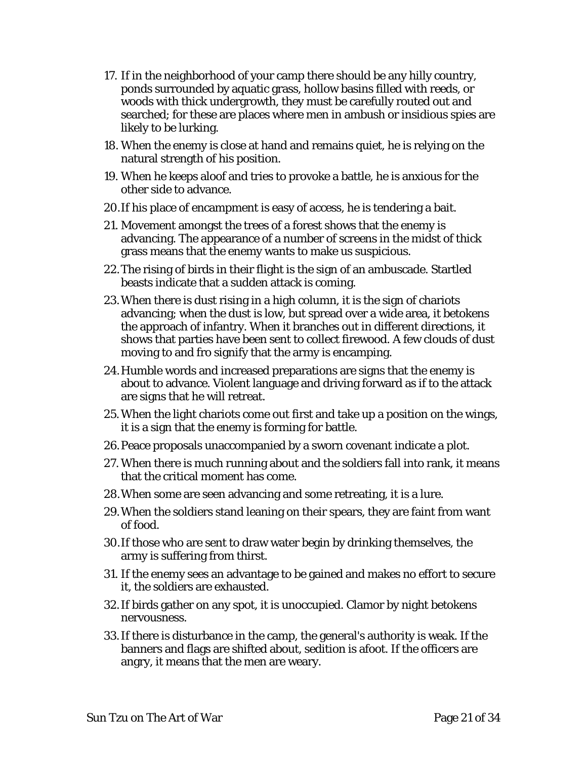- 17. If in the neighborhood of your camp there should be any hilly country, ponds surrounded by aquatic grass, hollow basins filled with reeds, or woods with thick undergrowth, they must be carefully routed out and searched; for these are places where men in ambush or insidious spies are likely to be lurking.
- 18. When the enemy is close at hand and remains quiet, he is relying on the natural strength of his position.
- 19. When he keeps aloof and tries to provoke a battle, he is anxious for the other side to advance.
- 20.If his place of encampment is easy of access, he is tendering a bait.
- 21. Movement amongst the trees of a forest shows that the enemy is advancing. The appearance of a number of screens in the midst of thick grass means that the enemy wants to make us suspicious.
- 22.The rising of birds in their flight is the sign of an ambuscade. Startled beasts indicate that a sudden attack is coming.
- 23.When there is dust rising in a high column, it is the sign of chariots advancing; when the dust is low, but spread over a wide area, it betokens the approach of infantry. When it branches out in different directions, it shows that parties have been sent to collect firewood. A few clouds of dust moving to and fro signify that the army is encamping.
- 24.Humble words and increased preparations are signs that the enemy is about to advance. Violent language and driving forward as if to the attack are signs that he will retreat.
- 25.When the light chariots come out first and take up a position on the wings, it is a sign that the enemy is forming for battle.
- 26.Peace proposals unaccompanied by a sworn covenant indicate a plot.
- 27. When there is much running about and the soldiers fall into rank, it means that the critical moment has come.
- 28.When some are seen advancing and some retreating, it is a lure.
- 29.When the soldiers stand leaning on their spears, they are faint from want of food.
- 30.If those who are sent to draw water begin by drinking themselves, the army is suffering from thirst.
- 31. If the enemy sees an advantage to be gained and makes no effort to secure it, the soldiers are exhausted.
- 32.If birds gather on any spot, it is unoccupied. Clamor by night betokens nervousness.
- 33.If there is disturbance in the camp, the general's authority is weak. If the banners and flags are shifted about, sedition is afoot. If the officers are angry, it means that the men are weary.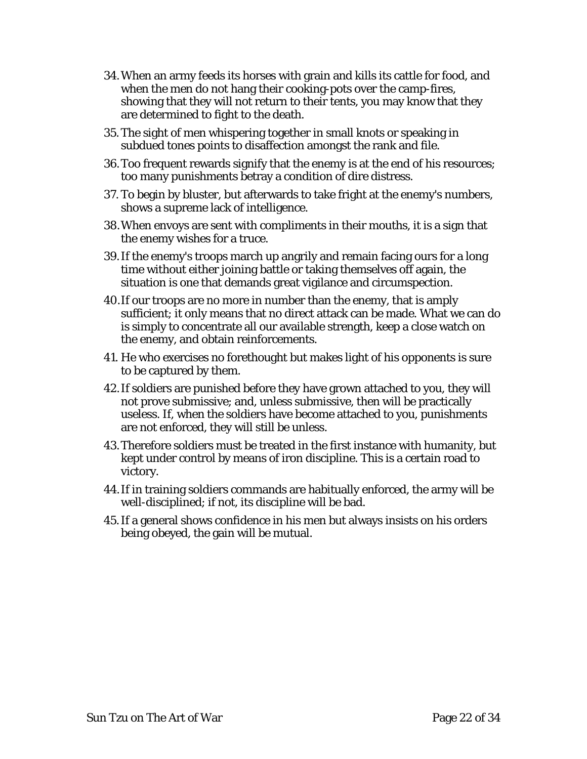- 34.When an army feeds its horses with grain and kills its cattle for food, and when the men do not hang their cooking-pots over the camp-fires, showing that they will not return to their tents, you may know that they are determined to fight to the death.
- 35.The sight of men whispering together in small knots or speaking in subdued tones points to disaffection amongst the rank and file.
- 36.Too frequent rewards signify that the enemy is at the end of his resources; too many punishments betray a condition of dire distress.
- 37. To begin by bluster, but afterwards to take fright at the enemy's numbers, shows a supreme lack of intelligence.
- 38.When envoys are sent with compliments in their mouths, it is a sign that the enemy wishes for a truce.
- 39.If the enemy's troops march up angrily and remain facing ours for a long time without either joining battle or taking themselves off again, the situation is one that demands great vigilance and circumspection.
- 40.If our troops are no more in number than the enemy, that is amply sufficient; it only means that no direct attack can be made. What we can do is simply to concentrate all our available strength, keep a close watch on the enemy, and obtain reinforcements.
- 41. He who exercises no forethought but makes light of his opponents is sure to be captured by them.
- 42.If soldiers are punished before they have grown attached to you, they will not prove submissive; and, unless submissive, then will be practically useless. If, when the soldiers have become attached to you, punishments are not enforced, they will still be unless.
- 43.Therefore soldiers must be treated in the first instance with humanity, but kept under control by means of iron discipline. This is a certain road to victory.
- 44.If in training soldiers commands are habitually enforced, the army will be well-disciplined; if not, its discipline will be bad.
- 45.If a general shows confidence in his men but always insists on his orders being obeyed, the gain will be mutual.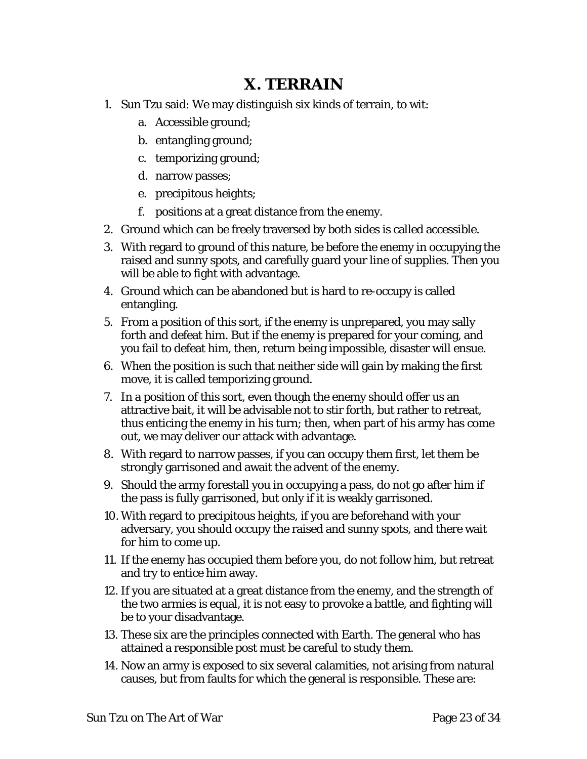#### **X. TERRAIN**

- <span id="page-22-0"></span>1. Sun Tzu said: We may distinguish six kinds of terrain, to wit:
	- a. Accessible ground;
	- b. entangling ground;
	- c. temporizing ground;
	- d. narrow passes;
	- e. precipitous heights;
	- f. positions at a great distance from the enemy.
- 2. Ground which can be freely traversed by both sides is called accessible.
- 3. With regard to ground of this nature, be before the enemy in occupying the raised and sunny spots, and carefully guard your line of supplies. Then you will be able to fight with advantage.
- 4. Ground which can be abandoned but is hard to re-occupy is called entangling.
- 5. From a position of this sort, if the enemy is unprepared, you may sally forth and defeat him. But if the enemy is prepared for your coming, and you fail to defeat him, then, return being impossible, disaster will ensue.
- 6. When the position is such that neither side will gain by making the first move, it is called temporizing ground.
- 7. In a position of this sort, even though the enemy should offer us an attractive bait, it will be advisable not to stir forth, but rather to retreat, thus enticing the enemy in his turn; then, when part of his army has come out, we may deliver our attack with advantage.
- 8. With regard to narrow passes, if you can occupy them first, let them be strongly garrisoned and await the advent of the enemy.
- 9. Should the army forestall you in occupying a pass, do not go after him if the pass is fully garrisoned, but only if it is weakly garrisoned.
- 10. With regard to precipitous heights, if you are beforehand with your adversary, you should occupy the raised and sunny spots, and there wait for him to come up.
- 11. If the enemy has occupied them before you, do not follow him, but retreat and try to entice him away.
- 12. If you are situated at a great distance from the enemy, and the strength of the two armies is equal, it is not easy to provoke a battle, and fighting will be to your disadvantage.
- 13. These six are the principles connected with Earth. The general who has attained a responsible post must be careful to study them.
- 14. Now an army is exposed to six several calamities, not arising from natural causes, but from faults for which the general is responsible. These are: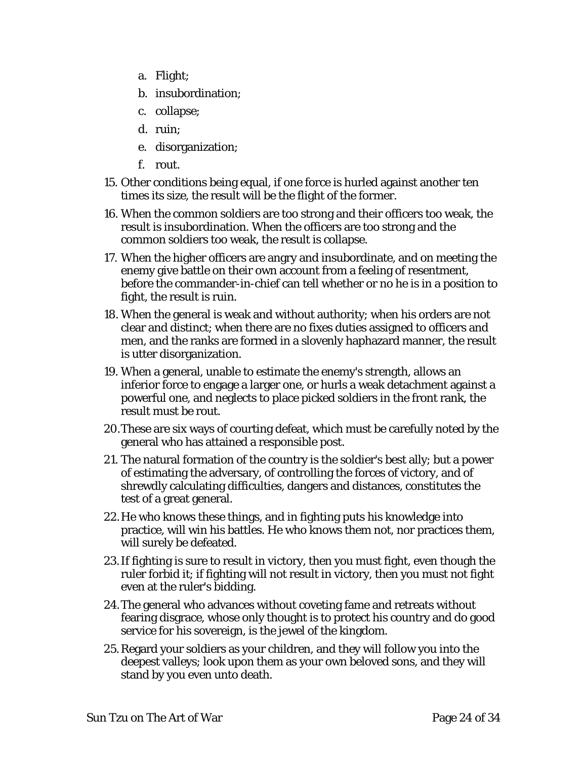- a. Flight;
- b. insubordination;
- c. collapse;
- d. ruin;
- e. disorganization;
- f. rout.
- 15. Other conditions being equal, if one force is hurled against another ten times its size, the result will be the flight of the former.
- 16. When the common soldiers are too strong and their officers too weak, the result is insubordination. When the officers are too strong and the common soldiers too weak, the result is collapse.
- 17. When the higher officers are angry and insubordinate, and on meeting the enemy give battle on their own account from a feeling of resentment, before the commander-in-chief can tell whether or no he is in a position to fight, the result is ruin.
- 18. When the general is weak and without authority; when his orders are not clear and distinct; when there are no fixes duties assigned to officers and men, and the ranks are formed in a slovenly haphazard manner, the result is utter disorganization.
- 19. When a general, unable to estimate the enemy's strength, allows an inferior force to engage a larger one, or hurls a weak detachment against a powerful one, and neglects to place picked soldiers in the front rank, the result must be rout.
- 20.These are six ways of courting defeat, which must be carefully noted by the general who has attained a responsible post.
- 21. The natural formation of the country is the soldier's best ally; but a power of estimating the adversary, of controlling the forces of victory, and of shrewdly calculating difficulties, dangers and distances, constitutes the test of a great general.
- 22.He who knows these things, and in fighting puts his knowledge into practice, will win his battles. He who knows them not, nor practices them, will surely be defeated.
- 23.If fighting is sure to result in victory, then you must fight, even though the ruler forbid it; if fighting will not result in victory, then you must not fight even at the ruler's bidding.
- 24.The general who advances without coveting fame and retreats without fearing disgrace, whose only thought is to protect his country and do good service for his sovereign, is the jewel of the kingdom.
- 25.Regard your soldiers as your children, and they will follow you into the deepest valleys; look upon them as your own beloved sons, and they will stand by you even unto death.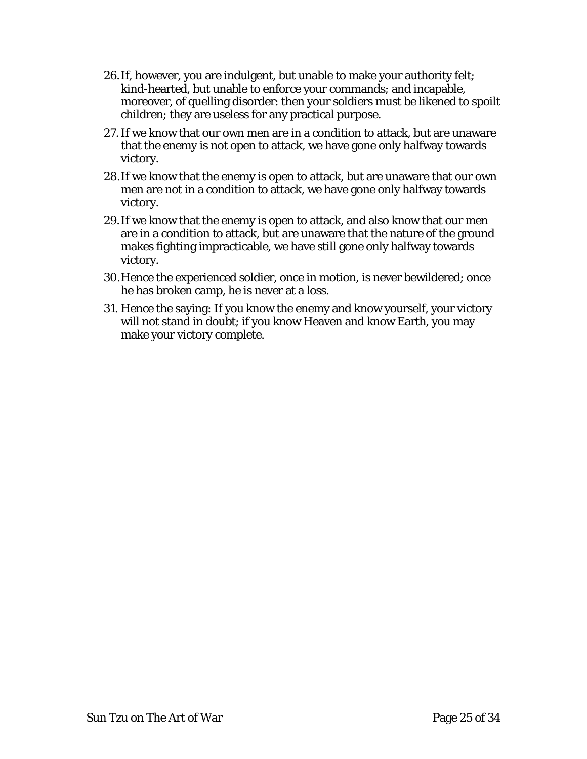- 26.If, however, you are indulgent, but unable to make your authority felt; kind-hearted, but unable to enforce your commands; and incapable, moreover, of quelling disorder: then your soldiers must be likened to spoilt children; they are useless for any practical purpose.
- 27.If we know that our own men are in a condition to attack, but are unaware that the enemy is not open to attack, we have gone only halfway towards victory.
- 28.If we know that the enemy is open to attack, but are unaware that our own men are not in a condition to attack, we have gone only halfway towards victory.
- 29.If we know that the enemy is open to attack, and also know that our men are in a condition to attack, but are unaware that the nature of the ground makes fighting impracticable, we have still gone only halfway towards victory.
- 30.Hence the experienced soldier, once in motion, is never bewildered; once he has broken camp, he is never at a loss.
- 31. Hence the saying: If you know the enemy and know yourself, your victory will not stand in doubt; if you know Heaven and know Earth, you may make your victory complete.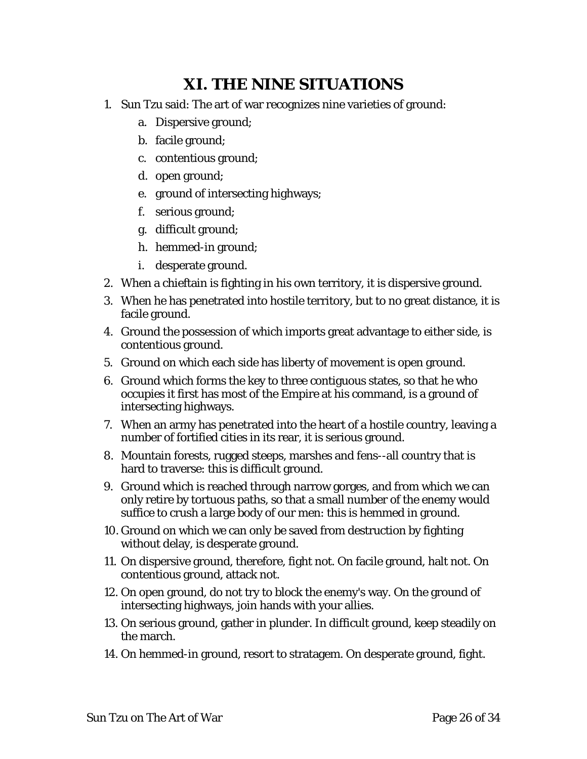### **XI. THE NINE SITUATIONS**

- <span id="page-25-0"></span>1. Sun Tzu said: The art of war recognizes nine varieties of ground:
	- a. Dispersive ground;
	- b. facile ground;
	- c. contentious ground;
	- d. open ground;
	- e. ground of intersecting highways;
	- f. serious ground;
	- g. difficult ground;
	- h. hemmed-in ground;
	- i. desperate ground.
- 2. When a chieftain is fighting in his own territory, it is dispersive ground.
- 3. When he has penetrated into hostile territory, but to no great distance, it is facile ground.
- 4. Ground the possession of which imports great advantage to either side, is contentious ground.
- 5. Ground on which each side has liberty of movement is open ground.
- 6. Ground which forms the key to three contiguous states, so that he who occupies it first has most of the Empire at his command, is a ground of intersecting highways.
- 7. When an army has penetrated into the heart of a hostile country, leaving a number of fortified cities in its rear, it is serious ground.
- 8. Mountain forests, rugged steeps, marshes and fens--all country that is hard to traverse: this is difficult ground.
- 9. Ground which is reached through narrow gorges, and from which we can only retire by tortuous paths, so that a small number of the enemy would suffice to crush a large body of our men: this is hemmed in ground.
- 10. Ground on which we can only be saved from destruction by fighting without delay, is desperate ground.
- 11. On dispersive ground, therefore, fight not. On facile ground, halt not. On contentious ground, attack not.
- 12. On open ground, do not try to block the enemy's way. On the ground of intersecting highways, join hands with your allies.
- 13. On serious ground, gather in plunder. In difficult ground, keep steadily on the march.
- 14. On hemmed-in ground, resort to stratagem. On desperate ground, fight.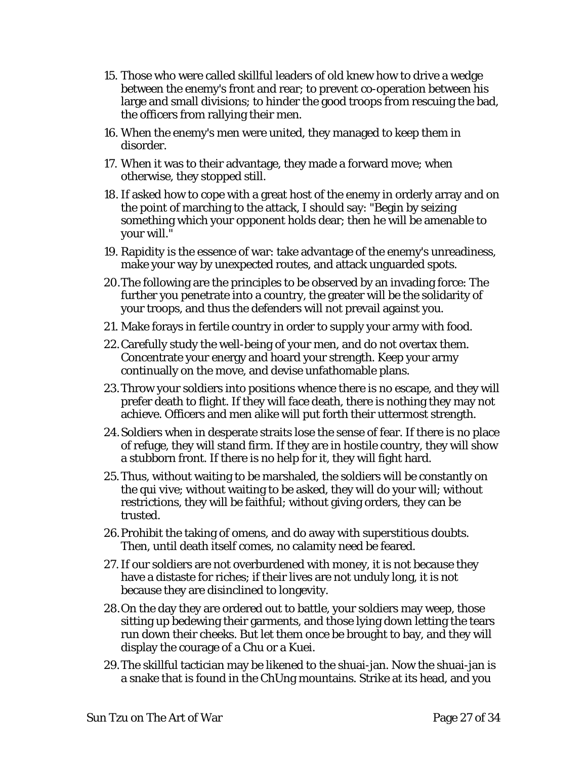- 15. Those who were called skillful leaders of old knew how to drive a wedge between the enemy's front and rear; to prevent co-operation between his large and small divisions; to hinder the good troops from rescuing the bad, the officers from rallying their men.
- 16. When the enemy's men were united, they managed to keep them in disorder.
- 17. When it was to their advantage, they made a forward move; when otherwise, they stopped still.
- 18. If asked how to cope with a great host of the enemy in orderly array and on the point of marching to the attack, I should say: "Begin by seizing something which your opponent holds dear; then he will be amenable to your will."
- 19. Rapidity is the essence of war: take advantage of the enemy's unreadiness, make your way by unexpected routes, and attack unguarded spots.
- 20.The following are the principles to be observed by an invading force: The further you penetrate into a country, the greater will be the solidarity of your troops, and thus the defenders will not prevail against you.
- 21. Make forays in fertile country in order to supply your army with food.
- 22.Carefully study the well-being of your men, and do not overtax them. Concentrate your energy and hoard your strength. Keep your army continually on the move, and devise unfathomable plans.
- 23.Throw your soldiers into positions whence there is no escape, and they will prefer death to flight. If they will face death, there is nothing they may not achieve. Officers and men alike will put forth their uttermost strength.
- 24.Soldiers when in desperate straits lose the sense of fear. If there is no place of refuge, they will stand firm. If they are in hostile country, they will show a stubborn front. If there is no help for it, they will fight hard.
- 25.Thus, without waiting to be marshaled, the soldiers will be constantly on the qui vive; without waiting to be asked, they will do your will; without restrictions, they will be faithful; without giving orders, they can be trusted.
- 26.Prohibit the taking of omens, and do away with superstitious doubts. Then, until death itself comes, no calamity need be feared.
- 27.If our soldiers are not overburdened with money, it is not because they have a distaste for riches; if their lives are not unduly long, it is not because they are disinclined to longevity.
- 28.On the day they are ordered out to battle, your soldiers may weep, those sitting up bedewing their garments, and those lying down letting the tears run down their cheeks. But let them once be brought to bay, and they will display the courage of a Chu or a Kuei.
- 29.The skillful tactician may be likened to the shuai-jan. Now the shuai-jan is a snake that is found in the ChUng mountains. Strike at its head, and you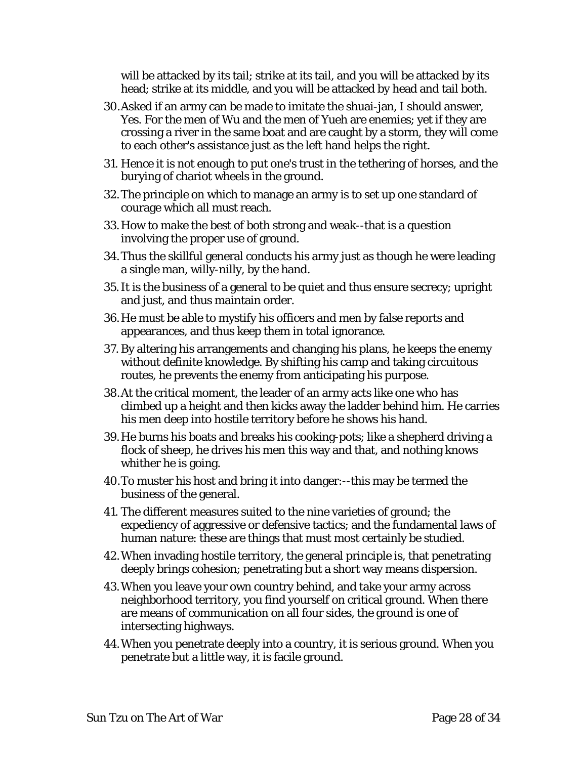will be attacked by its tail; strike at its tail, and you will be attacked by its head; strike at its middle, and you will be attacked by head and tail both.

- 30.Asked if an army can be made to imitate the shuai-jan, I should answer, Yes. For the men of Wu and the men of Yueh are enemies; yet if they are crossing a river in the same boat and are caught by a storm, they will come to each other's assistance just as the left hand helps the right.
- 31. Hence it is not enough to put one's trust in the tethering of horses, and the burying of chariot wheels in the ground.
- 32.The principle on which to manage an army is to set up one standard of courage which all must reach.
- 33.How to make the best of both strong and weak--that is a question involving the proper use of ground.
- 34.Thus the skillful general conducts his army just as though he were leading a single man, willy-nilly, by the hand.
- 35.It is the business of a general to be quiet and thus ensure secrecy; upright and just, and thus maintain order.
- 36.He must be able to mystify his officers and men by false reports and appearances, and thus keep them in total ignorance.
- 37. By altering his arrangements and changing his plans, he keeps the enemy without definite knowledge. By shifting his camp and taking circuitous routes, he prevents the enemy from anticipating his purpose.
- 38.At the critical moment, the leader of an army acts like one who has climbed up a height and then kicks away the ladder behind him. He carries his men deep into hostile territory before he shows his hand.
- 39.He burns his boats and breaks his cooking-pots; like a shepherd driving a flock of sheep, he drives his men this way and that, and nothing knows whither he is going.
- 40.To muster his host and bring it into danger:--this may be termed the business of the general.
- 41. The different measures suited to the nine varieties of ground; the expediency of aggressive or defensive tactics; and the fundamental laws of human nature: these are things that must most certainly be studied.
- 42.When invading hostile territory, the general principle is, that penetrating deeply brings cohesion; penetrating but a short way means dispersion.
- 43.When you leave your own country behind, and take your army across neighborhood territory, you find yourself on critical ground. When there are means of communication on all four sides, the ground is one of intersecting highways.
- 44.When you penetrate deeply into a country, it is serious ground. When you penetrate but a little way, it is facile ground.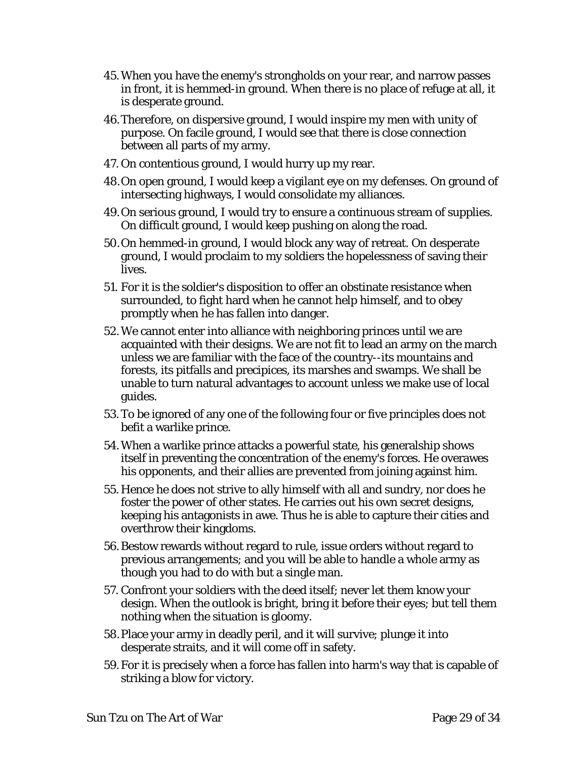- 45.When you have the enemy's strongholds on your rear, and narrow passes in front, it is hemmed-in ground. When there is no place of refuge at all, it is desperate ground.
- 46.Therefore, on dispersive ground, I would inspire my men with unity of purpose. On facile ground, I would see that there is close connection between all parts of my army.
- 47. On contentious ground, I would hurry up my rear.
- 48.On open ground, I would keep a vigilant eye on my defenses. On ground of intersecting highways, I would consolidate my alliances.
- 49.On serious ground, I would try to ensure a continuous stream of supplies. On difficult ground, I would keep pushing on along the road.
- 50.On hemmed-in ground, I would block any way of retreat. On desperate ground, I would proclaim to my soldiers the hopelessness of saving their lives.
- 51. For it is the soldier's disposition to offer an obstinate resistance when surrounded, to fight hard when he cannot help himself, and to obey promptly when he has fallen into danger.
- 52.We cannot enter into alliance with neighboring princes until we are acquainted with their designs. We are not fit to lead an army on the march unless we are familiar with the face of the country--its mountains and forests, its pitfalls and precipices, its marshes and swamps. We shall be unable to turn natural advantages to account unless we make use of local guides.
- 53.To be ignored of any one of the following four or five principles does not befit a warlike prince.
- 54.When a warlike prince attacks a powerful state, his generalship shows itself in preventing the concentration of the enemy's forces. He overawes his opponents, and their allies are prevented from joining against him.
- 55. Hence he does not strive to ally himself with all and sundry, nor does he foster the power of other states. He carries out his own secret designs, keeping his antagonists in awe. Thus he is able to capture their cities and overthrow their kingdoms.
- 56.Bestow rewards without regard to rule, issue orders without regard to previous arrangements; and you will be able to handle a whole army as though you had to do with but a single man.
- 57. Confront your soldiers with the deed itself; never let them know your design. When the outlook is bright, bring it before their eyes; but tell them nothing when the situation is gloomy.
- 58.Place your army in deadly peril, and it will survive; plunge it into desperate straits, and it will come off in safety.
- 59.For it is precisely when a force has fallen into harm's way that is capable of striking a blow for victory.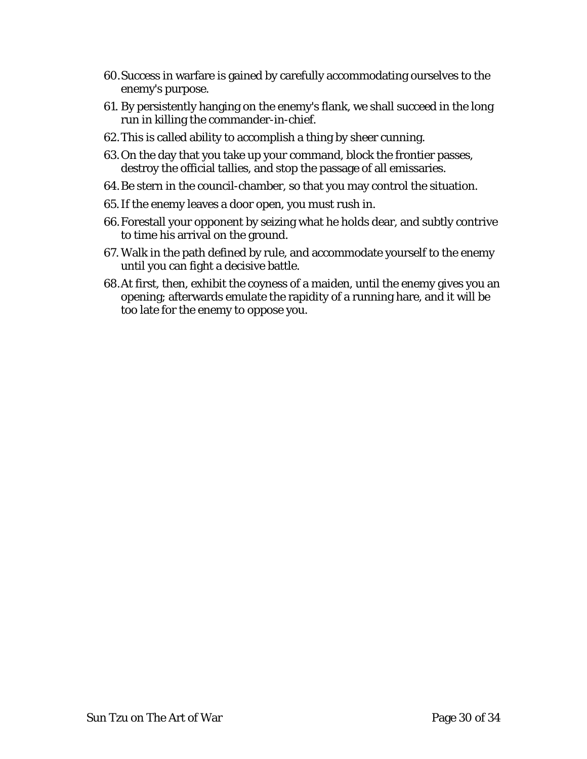- 60.Success in warfare is gained by carefully accommodating ourselves to the enemy's purpose.
- 61. By persistently hanging on the enemy's flank, we shall succeed in the long run in killing the commander-in-chief.
- 62.This is called ability to accomplish a thing by sheer cunning.
- 63.On the day that you take up your command, block the frontier passes, destroy the official tallies, and stop the passage of all emissaries.
- 64.Be stern in the council-chamber, so that you may control the situation.
- 65.If the enemy leaves a door open, you must rush in.
- 66.Forestall your opponent by seizing what he holds dear, and subtly contrive to time his arrival on the ground.
- 67. Walk in the path defined by rule, and accommodate yourself to the enemy until you can fight a decisive battle.
- 68.At first, then, exhibit the coyness of a maiden, until the enemy gives you an opening; afterwards emulate the rapidity of a running hare, and it will be too late for the enemy to oppose you.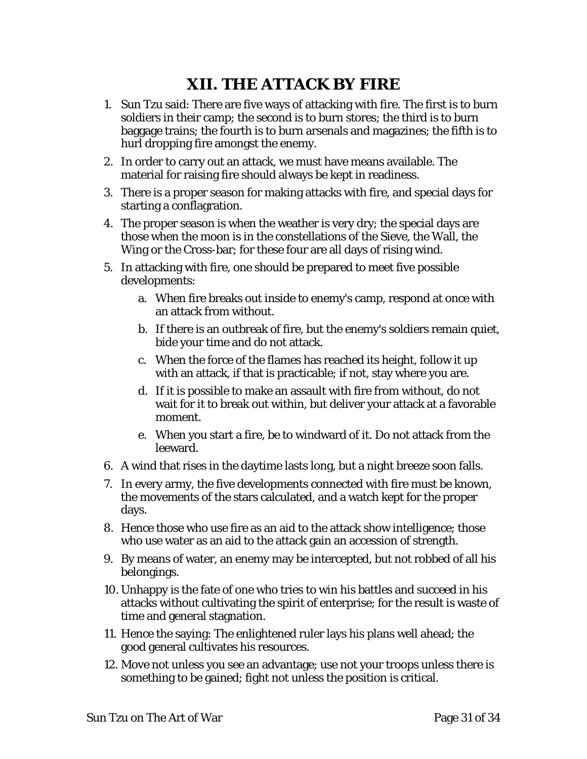# **XII. THE ATTACK BY FIRE**

- <span id="page-30-0"></span>1. Sun Tzu said: There are five ways of attacking with fire. The first is to burn soldiers in their camp; the second is to burn stores; the third is to burn baggage trains; the fourth is to burn arsenals and magazines; the fifth is to hurl dropping fire amongst the enemy.
- 2. In order to carry out an attack, we must have means available. The material for raising fire should always be kept in readiness.
- 3. There is a proper season for making attacks with fire, and special days for starting a conflagration.
- 4. The proper season is when the weather is very dry; the special days are those when the moon is in the constellations of the Sieve, the Wall, the Wing or the Cross-bar; for these four are all days of rising wind.
- 5. In attacking with fire, one should be prepared to meet five possible developments:
	- a. When fire breaks out inside to enemy's camp, respond at once with an attack from without.
	- b. If there is an outbreak of fire, but the enemy's soldiers remain quiet, bide your time and do not attack.
	- c. When the force of the flames has reached its height, follow it up with an attack, if that is practicable; if not, stay where you are.
	- d. If it is possible to make an assault with fire from without, do not wait for it to break out within, but deliver your attack at a favorable moment.
	- e. When you start a fire, be to windward of it. Do not attack from the leeward.
- 6. A wind that rises in the daytime lasts long, but a night breeze soon falls.
- 7. In every army, the five developments connected with fire must be known, the movements of the stars calculated, and a watch kept for the proper days.
- 8. Hence those who use fire as an aid to the attack show intelligence; those who use water as an aid to the attack gain an accession of strength.
- 9. By means of water, an enemy may be intercepted, but not robbed of all his belongings.
- 10. Unhappy is the fate of one who tries to win his battles and succeed in his attacks without cultivating the spirit of enterprise; for the result is waste of time and general stagnation.
- 11. Hence the saying: The enlightened ruler lays his plans well ahead; the good general cultivates his resources.
- 12. Move not unless you see an advantage; use not your troops unless there is something to be gained; fight not unless the position is critical.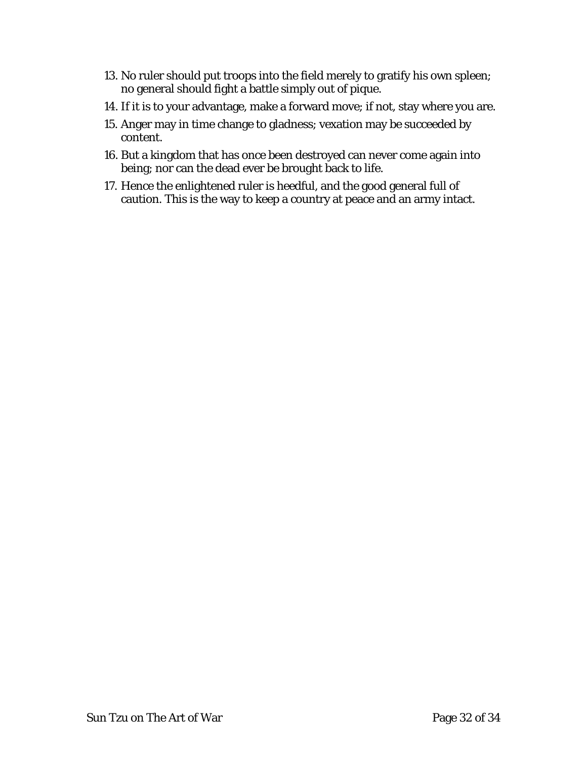- 13. No ruler should put troops into the field merely to gratify his own spleen; no general should fight a battle simply out of pique.
- 14. If it is to your advantage, make a forward move; if not, stay where you are.
- 15. Anger may in time change to gladness; vexation may be succeeded by content.
- 16. But a kingdom that has once been destroyed can never come again into being; nor can the dead ever be brought back to life.
- 17. Hence the enlightened ruler is heedful, and the good general full of caution. This is the way to keep a country at peace and an army intact.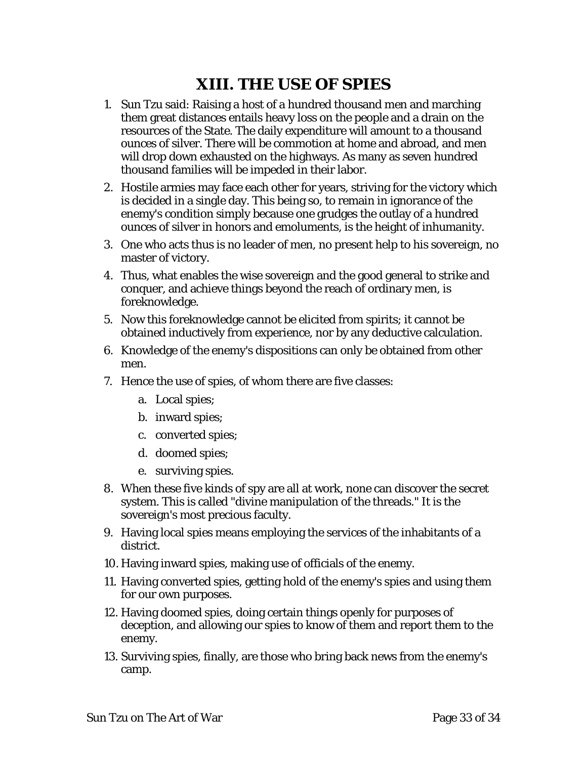# **XIII. THE USE OF SPIES**

- <span id="page-32-0"></span>1. Sun Tzu said: Raising a host of a hundred thousand men and marching them great distances entails heavy loss on the people and a drain on the resources of the State. The daily expenditure will amount to a thousand ounces of silver. There will be commotion at home and abroad, and men will drop down exhausted on the highways. As many as seven hundred thousand families will be impeded in their labor.
- 2. Hostile armies may face each other for years, striving for the victory which is decided in a single day. This being so, to remain in ignorance of the enemy's condition simply because one grudges the outlay of a hundred ounces of silver in honors and emoluments, is the height of inhumanity.
- 3. One who acts thus is no leader of men, no present help to his sovereign, no master of victory.
- 4. Thus, what enables the wise sovereign and the good general to strike and conquer, and achieve things beyond the reach of ordinary men, is foreknowledge.
- 5. Now this foreknowledge cannot be elicited from spirits; it cannot be obtained inductively from experience, nor by any deductive calculation.
- 6. Knowledge of the enemy's dispositions can only be obtained from other men.
- 7. Hence the use of spies, of whom there are five classes:
	- a. Local spies;
	- b. inward spies;
	- c. converted spies;
	- d. doomed spies;
	- e. surviving spies.
- 8. When these five kinds of spy are all at work, none can discover the secret system. This is called "divine manipulation of the threads." It is the sovereign's most precious faculty.
- 9. Having local spies means employing the services of the inhabitants of a district.
- 10. Having inward spies, making use of officials of the enemy.
- 11. Having converted spies, getting hold of the enemy's spies and using them for our own purposes.
- 12. Having doomed spies, doing certain things openly for purposes of deception, and allowing our spies to know of them and report them to the enemy.
- 13. Surviving spies, finally, are those who bring back news from the enemy's camp.